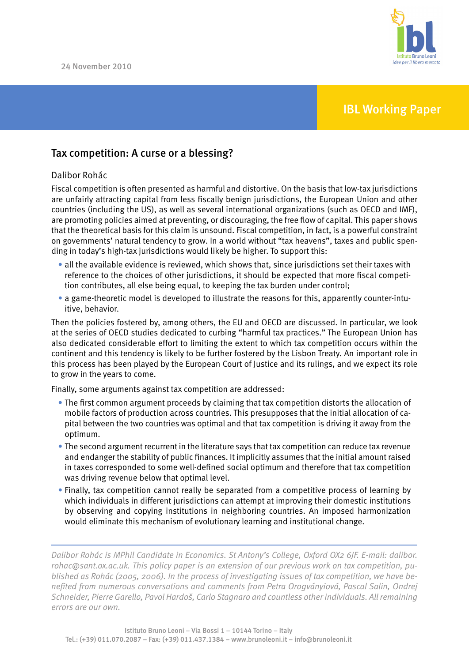

## IBL Working Paper

## Tax competition: A curse or a blessing?

### Dalibor Rohác

Fiscal competition is often presented as harmful and distortive. On the basis that low-tax jurisdictions are unfairly attracting capital from less fiscally benign jurisdictions, the European Union and other countries (including the US), as well as several international organizations (such as OECD and IMF), are promoting policies aimed at preventing, or discouraging, the free flow of capital. This paper shows that the theoretical basis for this claim is unsound. Fiscal competition, in fact, is a powerful constraint on governments' natural tendency to grow. In a world without "tax heavens", taxes and public spending in today's high-tax jurisdictions would likely be higher. To support this:

- • all the available evidence is reviewed, which shows that, since jurisdictions set their taxes with reference to the choices of other jurisdictions, it should be expected that more fiscal competition contributes, all else being equal, to keeping the tax burden under control;
- a game-theoretic model is developed to illustrate the reasons for this, apparently counter-intuitive, behavior.

Then the policies fostered by, among others, the EU and OECD are discussed. In particular, we look at the series of OECD studies dedicated to curbing "harmful tax practices." The European Union has also dedicated considerable effort to limiting the extent to which tax competition occurs within the continent and this tendency is likely to be further fostered by the Lisbon Treaty. An important role in this process has been played by the European Court of Justice and its rulings, and we expect its role to grow in the years to come.

Finally, some arguments against tax competition are addressed:

- The first common argument proceeds by claiming that tax competition distorts the allocation of mobile factors of production across countries. This presupposes that the initial allocation of capital between the two countries was optimal and that tax competition is driving it away from the optimum.
- The second argument recurrent in the literature says that tax competition can reduce tax revenue and endanger the stability of public finances. It implicitly assumes that the initial amount raised in taxes corresponded to some well-defined social optimum and therefore that tax competition was driving revenue below that optimal level.
- Finally, tax competition cannot really be separated from a competitive process of learning by which individuals in different jurisdictions can attempt at improving their domestic institutions by observing and copying institutions in neighboring countries. An imposed harmonization would eliminate this mechanism of evolutionary learning and institutional change.

*Dalibor Rohác is MPhil Candidate in Economics. St Antony's College, Oxford OX2 6JF. E-mail: dalibor. rohac@sant.ox.ac.uk. This policy paper is an extension of our previous work on tax competition, published as Rohác (2005, 2006). In the process of investigating issues of tax competition, we have benefited from numerous conversations and comments from Petra Orogványiová, Pascal Salin, Ondrej Schneider, Pierre Garello, Pavol Hardoš, Carlo Stagnaro and countless other individuals. All remaining errors are our own.*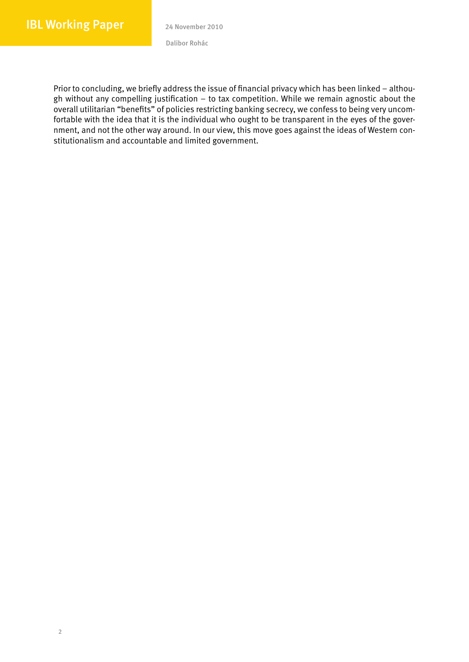Prior to concluding, we briefly address the issue of financial privacy which has been linked – although without any compelling justification – to tax competition. While we remain agnostic about the overall utilitarian "benefits" of policies restricting banking secrecy, we confess to being very uncomfortable with the idea that it is the individual who ought to be transparent in the eyes of the government, and not the other way around. In our view, this move goes against the ideas of Western constitutionalism and accountable and limited government.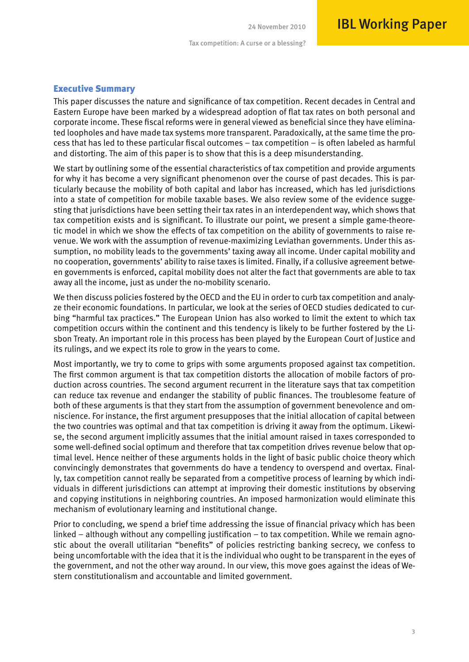## Executive Summary

This paper discusses the nature and significance of tax competition. Recent decades in Central and Eastern Europe have been marked by a widespread adoption of flat tax rates on both personal and corporate income. These fiscal reforms were in general viewed as beneficial since they have eliminated loopholes and have made tax systems more transparent. Paradoxically, at the same time the process that has led to these particular fiscal outcomes – tax competition – is often labeled as harmful and distorting. The aim of this paper is to show that this is a deep misunderstanding.

We start by outlining some of the essential characteristics of tax competition and provide arguments for why it has become a very significant phenomenon over the course of past decades. This is particularly because the mobility of both capital and labor has increased, which has led jurisdictions into a state of competition for mobile taxable bases. We also review some of the evidence suggesting that jurisdictions have been setting their tax rates in an interdependent way, which shows that tax competition exists and is significant. To illustrate our point, we present a simple game-theoretic model in which we show the effects of tax competition on the ability of governments to raise revenue. We work with the assumption of revenue-maximizing Leviathan governments. Under this assumption, no mobility leads to the governments' taxing away all income. Under capital mobility and no cooperation, governments' ability to raise taxes is limited. Finally, if a collusive agreement between governments is enforced, capital mobility does not alter the fact that governments are able to tax away all the income, just as under the no-mobility scenario.

We then discuss policies fostered by the OECD and the EU in order to curb tax competition and analyze their economic foundations. In particular, we look at the series of OECD studies dedicated to curbing "harmful tax practices." The European Union has also worked to limit the extent to which tax competition occurs within the continent and this tendency is likely to be further fostered by the Lisbon Treaty. An important role in this process has been played by the European Court of Justice and its rulings, and we expect its role to grow in the years to come.

Most importantly, we try to come to grips with some arguments proposed against tax competition. The first common argument is that tax competition distorts the allocation of mobile factors of production across countries. The second argument recurrent in the literature says that tax competition can reduce tax revenue and endanger the stability of public finances. The troublesome feature of both of these arguments is that they start from the assumption of government benevolence and omniscience. For instance, the first argument presupposes that the initial allocation of capital between the two countries was optimal and that tax competition is driving it away from the optimum. Likewise, the second argument implicitly assumes that the initial amount raised in taxes corresponded to some well-defined social optimum and therefore that tax competition drives revenue below that optimal level. Hence neither of these arguments holds in the light of basic public choice theory which convincingly demonstrates that governments do have a tendency to overspend and overtax. Finally, tax competition cannot really be separated from a competitive process of learning by which individuals in different jurisdictions can attempt at improving their domestic institutions by observing and copying institutions in neighboring countries. An imposed harmonization would eliminate this mechanism of evolutionary learning and institutional change.

Prior to concluding, we spend a brief time addressing the issue of financial privacy which has been linked – although without any compelling justification – to tax competition. While we remain agnostic about the overall utilitarian "benefits" of policies restricting banking secrecy, we confess to being uncomfortable with the idea that it is the individual who ought to be transparent in the eyes of the government, and not the other way around. In our view, this move goes against the ideas of Western constitutionalism and accountable and limited government.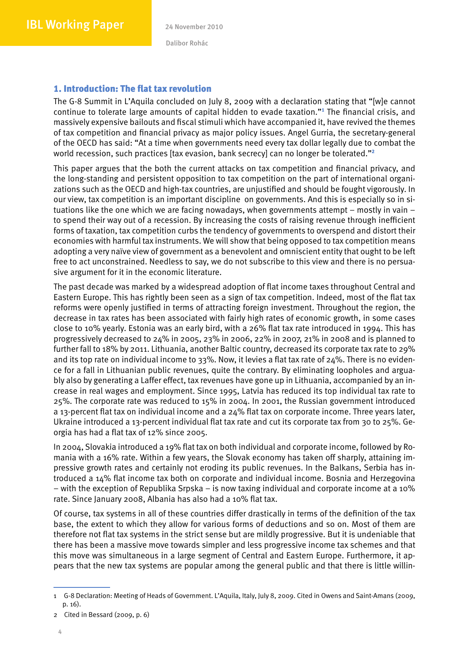## 1. Introduction: The flat tax revolution

The G-8 Summit in L'Aquila concluded on July 8, 2009 with a declaration stating that "[w]e cannot continue to tolerate large amounts of capital hidden to evade taxation."<sup>1</sup> The financial crisis, and massively expensive bailouts and fiscal stimuli which have accompanied it, have revived the themes of tax competition and financial privacy as major policy issues. Angel Gurria, the secretary-general of the OECD has said: "At a time when governments need every tax dollar legally due to combat the world recession, such practices [tax evasion, bank secrecy] can no longer be tolerated."<sup>2</sup>

This paper argues that the both the current attacks on tax competition and financial privacy, and the long-standing and persistent opposition to tax competition on the part of international organizations such as the OECD and high-tax countries, are unjustified and should be fought vigorously. In our view, tax competition is an important discipline on governments. And this is especially so in situations like the one which we are facing nowadays, when governments attempt – mostly in vain – to spend their way out of a recession. By increasing the costs of raising revenue through inefficient forms of taxation, tax competition curbs the tendency of governments to overspend and distort their economies with harmful tax instruments. We will show that being opposed to tax competition means adopting a very naïve view of government as a benevolent and omniscient entity that ought to be left free to act unconstrained. Needless to say, we do not subscribe to this view and there is no persuasive argument for it in the economic literature.

The past decade was marked by a widespread adoption of flat income taxes throughout Central and Eastern Europe. This has rightly been seen as a sign of tax competition. Indeed, most of the flat tax reforms were openly justified in terms of attracting foreign investment. Throughout the region, the decrease in tax rates has been associated with fairly high rates of economic growth, in some cases close to 10% yearly. Estonia was an early bird, with a 26% flat tax rate introduced in 1994. This has progressively decreased to 24% in 2005, 23% in 2006, 22% in 2007, 21% in 2008 and is planned to further fall to 18% by 2011. Lithuania, another Baltic country, decreased its corporate tax rate to 29% and its top rate on individual income to 33%. Now, it levies a flat tax rate of  $24\%$ . There is no evidence for a fall in Lithuanian public revenues, quite the contrary. By eliminating loopholes and arguably also by generating a Laffer effect, tax revenues have gone up in Lithuania, accompanied by an increase in real wages and employment. Since 1995, Latvia has reduced its top individual tax rate to 25%. The corporate rate was reduced to 15% in 2004. In 2001, the Russian government introduced a 13-percent flat tax on individual income and a 24% flat tax on corporate income. Three years later, Ukraine introduced a 13-percent individual flat tax rate and cut its corporate tax from 30 to 25%. Georgia has had a flat tax of 12% since 2005.

In 2004, Slovakia introduced a 19% flat tax on both individual and corporate income, followed by Romania with a 16% rate. Within a few years, the Slovak economy has taken off sharply, attaining impressive growth rates and certainly not eroding its public revenues. In the Balkans, Serbia has introduced a 14% flat income tax both on corporate and individual income. Bosnia and Herzegovina – with the exception of Republika Srpska – is now taxing individual and corporate income at a 10% rate. Since January 2008, Albania has also had a 10% flat tax.

Of course, tax systems in all of these countries differ drastically in terms of the definition of the tax base, the extent to which they allow for various forms of deductions and so on. Most of them are therefore not flat tax systems in the strict sense but are mildly progressive. But it is undeniable that there has been a massive move towards simpler and less progressive income tax schemes and that this move was simultaneous in a large segment of Central and Eastern Europe. Furthermore, it appears that the new tax systems are popular among the general public and that there is little willin-

<sup>1</sup> G-8 Declaration: Meeting of Heads of Government. L'Aquila, Italy, July 8, 2009. Cited in Owens and Saint-Amans (2009, p. 16).

<sup>2</sup> Cited in Bessard (2009, p. 6)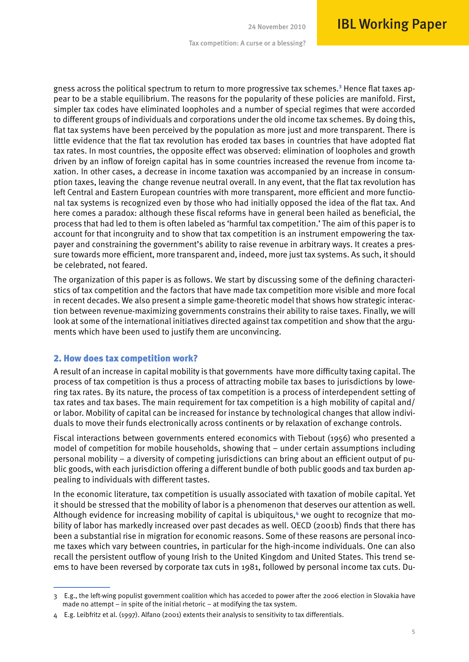gness across the political spectrum to return to more progressive tax schemes.<sup>3</sup> Hence flat taxes appear to be a stable equilibrium. The reasons for the popularity of these policies are manifold. First, simpler tax codes have eliminated loopholes and a number of special regimes that were accorded to different groups of individuals and corporations under the old income tax schemes. By doing this, flat tax systems have been perceived by the population as more just and more transparent. There is little evidence that the flat tax revolution has eroded tax bases in countries that have adopted flat tax rates. In most countries, the opposite effect was observed: elimination of loopholes and growth driven by an inflow of foreign capital has in some countries increased the revenue from income taxation. In other cases, a decrease in income taxation was accompanied by an increase in consumption taxes, leaving the change revenue neutral overall. In any event, that the flat tax revolution has left Central and Eastern European countries with more transparent, more efficient and more functional tax systems is recognized even by those who had initially opposed the idea of the flat tax. And here comes a paradox: although these fiscal reforms have in general been hailed as beneficial, the process that had led to them is often labeled as 'harmful tax competition.' The aim of this paper is to account for that incongruity and to show that tax competition is an instrument empowering the taxpayer and constraining the government's ability to raise revenue in arbitrary ways. It creates a pressure towards more efficient, more transparent and, indeed, more just tax systems. As such, it should be celebrated, not feared.

The organization of this paper is as follows. We start by discussing some of the defining characteristics of tax competition and the factors that have made tax competition more visible and more focal in recent decades. We also present a simple game-theoretic model that shows how strategic interaction between revenue-maximizing governments constrains their ability to raise taxes. Finally, we will look at some of the international initiatives directed against tax competition and show that the arguments which have been used to justify them are unconvincing.

#### 2. How does tax competition work?

A result of an increase in capital mobility is that governments have more difficulty taxing capital. The process of tax competition is thus a process of attracting mobile tax bases to jurisdictions by lowering tax rates. By its nature, the process of tax competition is a process of interdependent setting of tax rates and tax bases. The main requirement for tax competition is a high mobility of capital and/ or labor. Mobility of capital can be increased for instance by technological changes that allow individuals to move their funds electronically across continents or by relaxation of exchange controls.

Fiscal interactions between governments entered economics with Tiebout (1956) who presented a model of competition for mobile households, showing that – under certain assumptions including personal mobility – a diversity of competing jurisdictions can bring about an efficient output of public goods, with each jurisdiction offering a different bundle of both public goods and tax burden appealing to individuals with different tastes.

In the economic literature, tax competition is usually associated with taxation of mobile capital. Yet it should be stressed that the mobility of labor is a phenomenon that deserves our attention as well. Although evidence for increasing mobility of capital is ubiquitous,<sup>4</sup> we ought to recognize that mobility of labor has markedly increased over past decades as well. OECD (2001b) finds that there has been a substantial rise in migration for economic reasons. Some of these reasons are personal income taxes which vary between countries, in particular for the high-income individuals. One can also recall the persistent outflow of young Irish to the United Kingdom and United States. This trend seems to have been reversed by corporate tax cuts in 1981, followed by personal income tax cuts. Du-

<sup>3</sup> E.g., the left-wing populist government coalition which has acceded to power after the 2006 election in Slovakia have made no attempt – in spite of the initial rhetoric – at modifying the tax system.

<sup>4</sup> E.g. Leibfritz et al. (1997). Alfano (2001) extents their analysis to sensitivity to tax differentials.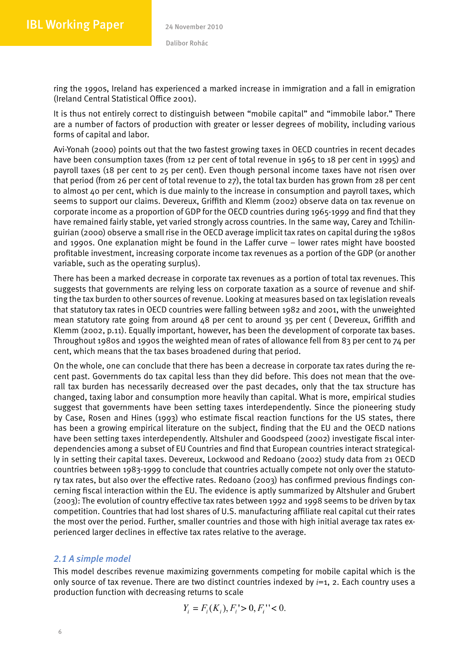ring the 1990s, Ireland has experienced a marked increase in immigration and a fall in emigration (Ireland Central Statistical Office 2001).

It is thus not entirely correct to distinguish between "mobile capital" and "immobile labor." There are a number of factors of production with greater or lesser degrees of mobility, including various forms of capital and labor.

Avi-Yonah (2000) points out that the two fastest growing taxes in OECD countries in recent decades have been consumption taxes (from 12 per cent of total revenue in 1965 to 18 per cent in 1995) and payroll taxes (18 per cent to 25 per cent). Even though personal income taxes have not risen over that period (from 26 per cent of total revenue to 27), the total tax burden has grown from 28 per cent to almost 40 per cent, which is due mainly to the increase in consumption and payroll taxes, which seems to support our claims. Devereux, Griffith and Klemm (2002) observe data on tax revenue on corporate income as a proportion of GDP for the OECD countries during 1965-1999 and find that they have remained fairly stable, yet varied strongly across countries. In the same way, Carey and Tchilinguirian (2000) observe a small rise in the OECD average implicit tax rates on capital during the 1980s and 1990s. One explanation might be found in the Laffer curve – lower rates might have boosted profitable investment, increasing corporate income tax revenues as a portion of the GDP (or another variable, such as the operating surplus).

There has been a marked decrease in corporate tax revenues as a portion of total tax revenues. This suggests that governments are relying less on corporate taxation as a source of revenue and shifting the tax burden to other sources of revenue. Looking at measures based on tax legislation reveals that statutory tax rates in OECD countries were falling between 1982 and 2001, with the unweighted mean statutory rate going from around 48 per cent to around 35 per cent ( Devereux, Griffith and Klemm (2002, p.11). Equally important, however, has been the development of corporate tax bases. Throughout 1980s and 1990s the weighted mean of rates of allowance fell from 83 per cent to 74 per cent, which means that the tax bases broadened during that period.

On the whole, one can conclude that there has been a decrease in corporate tax rates during the recent past. Governments do tax capital less than they did before. This does not mean that the overall tax burden has necessarily decreased over the past decades, only that the tax structure has changed, taxing labor and consumption more heavily than capital. What is more, empirical studies suggest that governments have been setting taxes interdependently. Since the pioneering study by Case, Rosen and Hines (1993) who estimate fiscal reaction functions for the US states, there has been a growing empirical literature on the subject, finding that the EU and the OECD nations have been setting taxes interdependently. Altshuler and Goodspeed (2002) investigate fiscal interdependencies among a subset of EU Countries and find that European countries interact strategically in setting their capital taxes. Devereux, Lockwood and Redoano (2002) study data from 21 OECD countries between 1983-1999 to conclude that countries actually compete not only over the statutory tax rates, but also over the effective rates. Redoano (2003) has confirmed previous findings concerning fiscal interaction within the EU. The evidence is aptly summarized by Altshuler and Grubert (2003): The evolution of country effective tax rates between 1992 and 1998 seems to be driven by tax competition. Countries that had lost shares of U.S. manufacturing affiliate real capital cut their rates the most over the period. Further, smaller countries and those with high initial average tax rates experienced larger declines in effective tax rates relative to the average.

## *2.1 A simple model*

This model describes revenue maximizing governments competing for mobile capital which is the only source of tax revenue. There are two distinct countries indexed by *i*=1, 2. Each country uses a production function with decreasing returns to scale

$$
Y_i = F_i(K_i), F_i > 0, F_i'' < 0.
$$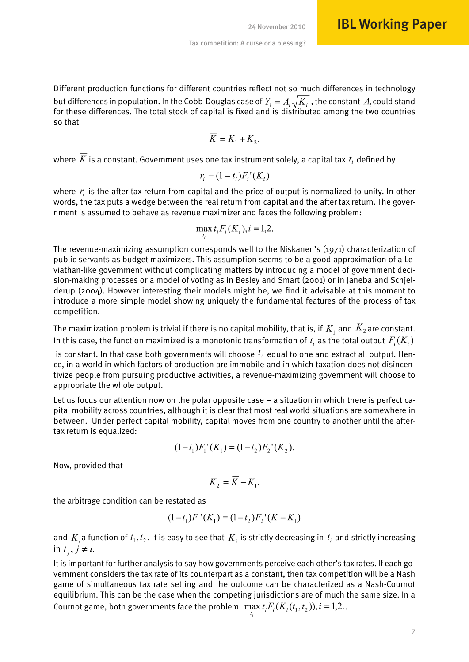Different production functions for different countries reflect not so much differences in technology but differences in population. In the Cobb-Douglas case of  $Y_i = A_i \sqrt{K_i}$  , the constant  $A_i$  could stand for these differences. The total stock of capital is fixed and is distributed among the two countries so that

$$
\overline{K} = K_1 + K_2.
$$

where  $\overline{K}$  is a constant. Government uses one tax instrument solely, a capital tax  $t_i$  defined by

$$
r_i = (1 - t_i)F_i^{\prime}(K_i)
$$

where  $r_i$  is the after-tax return from capital and the price of output is normalized to unity. In other words, the tax puts a wedge between the real return from capital and the after tax return. The government is assumed to behave as revenue maximizer and faces the following problem:

$$
\max_{t_i} t_i F_i(K_i), i=1,2.
$$

The revenue-maximizing assumption corresponds well to the Niskanen's (1971) characterization of public servants as budget maximizers. This assumption seems to be a good approximation of a Leviathan-like government without complicating matters by introducing a model of government decision-making processes or a model of voting as in Besley and Smart (2001) or in Janeba and Schjelderup (2004). However interesting their models might be, we find it advisable at this moment to introduce a more simple model showing uniquely the fundamental features of the process of tax competition.

The maximization problem is trivial if there is no capital mobility, that is, if  $K_1$  and  $K_2$  are constant. In this case, the function maximized is a monotonic transformation of  $t_i$  as the total output  $F_i(K_i)$ 

is constant. In that case both governments will choose  $t_i$  equal to one and extract all output. Hence, in a world in which factors of production are immobile and in which taxation does not disincentivize people from pursuing productive activities, a revenue-maximizing government will choose to appropriate the whole output.

Let us focus our attention now on the polar opposite case – a situation in which there is perfect capital mobility across countries, although it is clear that most real world situations are somewhere in between. Under perfect capital mobility, capital moves from one country to another until the aftertax return is equalized:

$$
(1-t_1)F_1'(K_1) = (1-t_2)F_2'(K_2).
$$

Now, provided that

$$
K_2 = \overline{K} - K_1.
$$

the arbitrage condition can be restated as

$$
(1-t_1)F_1'(K_1) = (1-t_2)F_2'(K - K_1)
$$

and  $K_i$  a function of  $t_1, t_2$ . It is easy to see that  $K_i$  is strictly decreasing in  $t_i$  and strictly increasing in  $t_i, j \neq i$ .

It is important for further analysis to say how governments perceive each other's tax rates. If each government considers the tax rate of its counterpart as a constant, then tax competition will be a Nash game of simultaneous tax rate setting and the outcome can be characterized as a Nash-Cournot equilibrium. This can be the case when the competing jurisdictions are of much the same size. In a Cournot game, both governments face the problem  $\max t_i F_i(K_i(t_1, t_2)), i = 1,2$ .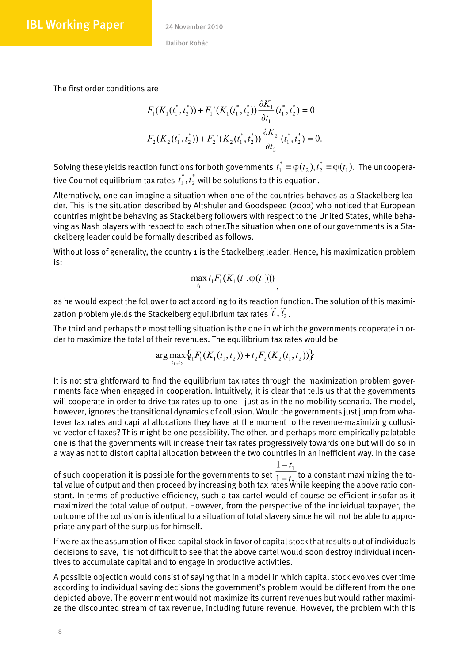The first order conditions are

$$
F_1(K_1(t_1^*, t_2^*)) + F_1^{\bullet}(K_1(t_1^*, t_2^*)) \frac{\partial K_1}{\partial t_1}(t_1^*, t_2^*) = 0
$$
  

$$
F_2(K_2(t_1^*, t_2^*)) + F_2^{\bullet}(K_2(t_1^*, t_2^*)) \frac{\partial K_2}{\partial t_2}(t_1^*, t_2^*) = 0.
$$

Solving these yields reaction functions for both governments  $t_1^* = \varphi(t_2), t_2^* = \varphi(t_1)$ . The uncooperative Cournot equilibrium tax rates  $t_1^*, t_2^*$  will be solutions to this equation.

Alternatively, one can imagine a situation when one of the countries behaves as a Stackelberg leader. This is the situation described by Altshuler and Goodspeed (2002) who noticed that European countries might be behaving as Stackelberg followers with respect to the United States, while behaving as Nash players with respect to each other.The situation when one of our governments is a Stackelberg leader could be formally described as follows.

Without loss of generality, the country 1 is the Stackelberg leader. Hence, his maximization problem is:

$$
\max_{t_1} t_1 F_1(K_1(t_1,\varphi(t_1)))
$$

as he would expect the follower to act according to its reaction function. The solution of this maximization problem yields the Stackelberg equilibrium tax rates  $t_1, t_2$ .

The third and perhaps the most telling situation is the one in which the governments cooperate in order to maximize the total of their revenues. The equilibrium tax rates would be

$$
\arg\max_{t_1, t_2} \{t_1 F_1(K_1(t_1, t_2)) + t_2 F_2(K_2(t_1, t_2))\}
$$

It is not straightforward to find the equilibrium tax rates through the maximization problem governments face when engaged in cooperation. Intuitively, it is clear that tells us that the governments will cooperate in order to drive tax rates up to one - just as in the no-mobility scenario. The model, however, ignores the transitional dynamics of collusion. Would the governments just jump from whatever tax rates and capital allocations they have at the moment to the revenue-maximizing collusive vector of taxes? This might be one possibility. The other, and perhaps more empirically palatable one is that the governments will increase their tax rates progressively towards one but will do so in a way as not to distort capital allocation between the two countries in an inefficient way. In the case

of such cooperation it is possible for the governments to set  $\frac{1}{1-t}$  to a constant maximizing the total value of output and then proceed by increasing both tax rates while keeping the above ratio constant. In terms of productive efficiency, such a tax cartel would of course be efficient insofar as it maximized the total value of output. However, from the perspective of the individual taxpayer, the outcome of the collusion is identical to a situation of total slavery since he will not be able to appropriate any part of the surplus for himself.

If we relax the assumption of fixed capital stock in favor of capital stock that results out of individuals decisions to save, it is not difficult to see that the above cartel would soon destroy individual incentives to accumulate capital and to engage in productive activities.

A possible objection would consist of saying that in a model in which capital stock evolves over time according to individual saving decisions the government's problem would be different from the one depicted above. The government would not maximize its current revenues but would rather maximize the discounted stream of tax revenue, including future revenue. However, the problem with this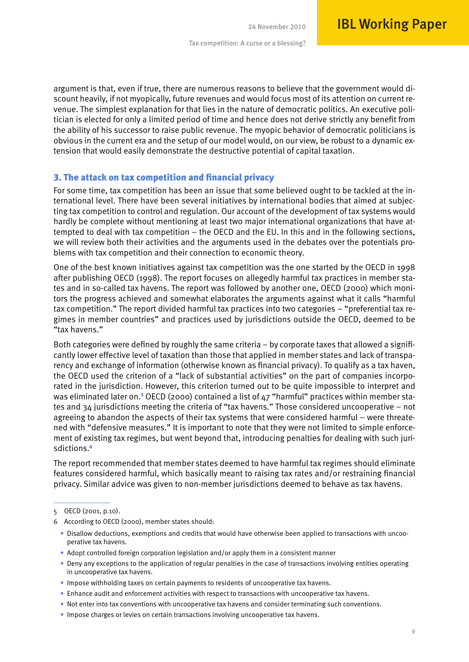argument is that, even if true, there are numerous reasons to believe that the government would discount heavily, if not myopically, future revenues and would focus most of its attention on current revenue. The simplest explanation for that lies in the nature of democratic politics. An executive politician is elected for only a limited period of time and hence does not derive strictly any benefit from the ability of his successor to raise public revenue. The myopic behavior of democratic politicians is obvious in the current era and the setup of our model would, on our view, be robust to a dynamic extension that would easily demonstrate the destructive potential of capital taxation.

#### 3. The attack on tax competition and financial privacy

For some time, tax competition has been an issue that some believed ought to be tackled at the international level. There have been several initiatives by international bodies that aimed at subjecting tax competition to control and regulation. Our account of the development of tax systems would hardly be complete without mentioning at least two major international organizations that have attempted to deal with tax competition – the OECD and the EU. In this and in the following sections, we will review both their activities and the arguments used in the debates over the potentials problems with tax competition and their connection to economic theory.

One of the best known initiatives against tax competition was the one started by the OECD in 1998 after publishing OECD (1998). The report focuses on allegedly harmful tax practices in member states and in so-called tax havens. The report was followed by another one, OECD (2000) which monitors the progress achieved and somewhat elaborates the arguments against what it calls "harmful tax competition." The report divided harmful tax practices into two categories – "preferential tax regimes in member countries" and practices used by jurisdictions outside the OECD, deemed to be "tax havens."

Both categories were defined by roughly the same criteria – by corporate taxes that allowed a significantly lower effective level of taxation than those that applied in member states and lack of transparency and exchange of information (otherwise known as financial privacy). To qualify as a tax haven, the OECD used the criterion of a "lack of substantial activities" on the part of companies incorporated in the jurisdiction. However, this criterion turned out to be quite impossible to interpret and was eliminated later on.<sup>5</sup> OECD (2000) contained a list of 47 "harmful" practices within member states and 34 jurisdictions meeting the criteria of "tax havens." Those considered uncooperative – not agreeing to abandon the aspects of their tax systems that were considered harmful – were threatened with "defensive measures." It is important to note that they were not limited to simple enforcement of existing tax regimes, but went beyond that, introducing penalties for dealing with such jurisdictions.<sup>6</sup>

The report recommended that member states deemed to have harmful tax regimes should eliminate features considered harmful, which basically meant to raising tax rates and/or restraining financial privacy. Similar advice was given to non-member jurisdictions deemed to behave as tax havens.

<sup>5</sup> OECD (2001, p.10).

<sup>6</sup> According to OECD (2000), member states should:

<sup>•</sup>  Disallow deductions, exemptions and credits that would have otherwise been applied to transactions with uncooperative tax havens.

<sup>•</sup> Adopt controlled foreign corporation legislation and/or apply them in a consistent manner

<sup>•</sup>  Deny any exceptions to the application of regular penalties in the case of transactions involving entities operating in uncooperative tax havens.

<sup>•</sup>  Impose withholding taxes on certain payments to residents of uncooperative tax havens.

<sup>•</sup> Enhance audit and enforcement activities with respect to transactions with uncooperative tax havens.

<sup>•</sup>  Not enter into tax conventions with uncooperative tax havens and consider terminating such conventions.

<sup>•</sup> Impose charges or levies on certain transactions involving uncooperative tax havens.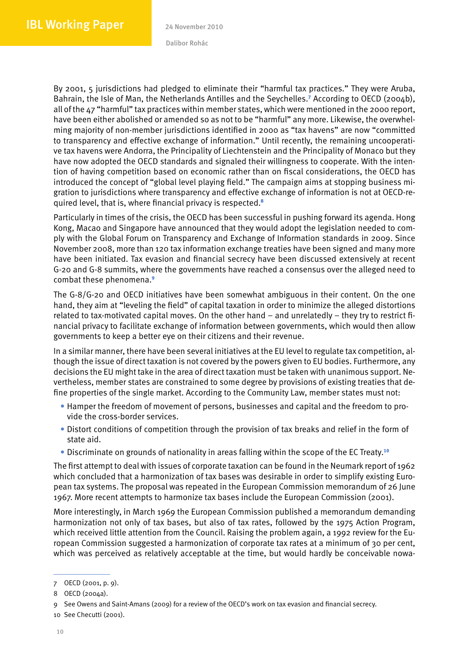By 2001, 5 jurisdictions had pledged to eliminate their "harmful tax practices." They were Aruba, Bahrain, the Isle of Man, the Netherlands Antilles and the Seychelles.<sup>7</sup> According to OECD (2004b), all of the 47 "harmful" tax practices within member states, which were mentioned in the 2000 report, have been either abolished or amended so as not to be "harmful" any more. Likewise, the overwhelming majority of non-member jurisdictions identified in 2000 as "tax havens" are now "committed to transparency and effective exchange of information." Until recently, the remaining uncooperative tax havens were Andorra, the Principality of Liechtenstein and the Principality of Monaco but they have now adopted the OECD standards and signaled their willingness to cooperate. With the intention of having competition based on economic rather than on fiscal considerations, the OECD has introduced the concept of "global level playing field." The campaign aims at stopping business migration to jurisdictions where transparency and effective exchange of information is not at OECD-required level, that is, where financial privacy is respected.<sup>8</sup>

Particularly in times of the crisis, the OECD has been successful in pushing forward its agenda. Hong Kong, Macao and Singapore have announced that they would adopt the legislation needed to comply with the Global Forum on Transparency and Exchange of Information standards in 2009. Since November 2008, more than 120 tax information exchange treaties have been signed and many more have been initiated. Tax evasion and financial secrecy have been discussed extensively at recent G-20 and G-8 summits, where the governments have reached a consensus over the alleged need to combat these phenomena.<sup>9</sup>

The G-8/G-20 and OECD initiatives have been somewhat ambiguous in their content. On the one hand, they aim at "leveling the field" of capital taxation in order to minimize the alleged distortions related to tax-motivated capital moves. On the other hand – and unrelatedly – they try to restrict financial privacy to facilitate exchange of information between governments, which would then allow governments to keep a better eye on their citizens and their revenue.

In a similar manner, there have been several initiatives at the EU level to regulate tax competition, although the issue of direct taxation is not covered by the powers given to EU bodies. Furthermore, any decisions the EU might take in the area of direct taxation must be taken with unanimous support. Nevertheless, member states are constrained to some degree by provisions of existing treaties that define properties of the single market. According to the Community Law, member states must not:

- Hamper the freedom of movement of persons, businesses and capital and the freedom to provide the cross-border services.
- • Distort conditions of competition through the provision of tax breaks and relief in the form of state aid.
- Discriminate on grounds of nationality in areas falling within the scope of the EC Treaty.<sup>10</sup>

The first attempt to deal with issues of corporate taxation can be found in the Neumark report of 1962 which concluded that a harmonization of tax bases was desirable in order to simplify existing European tax systems. The proposal was repeated in the European Commission memorandum of 26 June 1967. More recent attempts to harmonize tax bases include the European Commission (2001).

More interestingly, in March 1969 the European Commission published a memorandum demanding harmonization not only of tax bases, but also of tax rates, followed by the 1975 Action Program, which received little attention from the Council. Raising the problem again, a 1992 review for the European Commission suggested a harmonization of corporate tax rates at a minimum of 30 per cent, which was perceived as relatively acceptable at the time, but would hardly be conceivable nowa-

10 See Checutti (2001).

<sup>7</sup> OECD (2001, p. 9).

<sup>8</sup> OECD (2004a).

<sup>9</sup> See Owens and Saint-Amans (2009) for a review of the OECD's work on tax evasion and financial secrecy.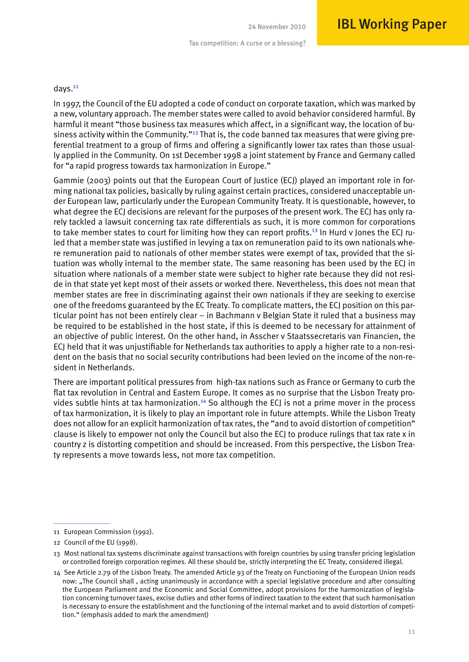#### days.<sup>11</sup>

In 1997, the Council of the EU adopted a code of conduct on corporate taxation, which was marked by a new, voluntary approach. The member states were called to avoid behavior considered harmful. By harmful it meant "those business tax measures which affect, in a significant way, the location of business activity within the Community."<sup>12</sup> That is, the code banned tax measures that were giving preferential treatment to a group of firms and offering a significantly lower tax rates than those usually applied in the Community. On 1st December 1998 a joint statement by France and Germany called for "a rapid progress towards tax harmonization in Europe."

Gammie (2003) points out that the European Court of Justice (ECJ) played an important role in forming national tax policies, basically by ruling against certain practices, considered unacceptable under European law, particularly under the European Community Treaty. It is questionable, however, to what degree the ECJ decisions are relevant for the purposes of the present work. The ECJ has only rarely tackled a lawsuit concerning tax rate differentials as such, it is more common for corporations to take member states to court for limiting how they can report profits.<sup>13</sup> In Hurd v Jones the ECJ ruled that a member state was justified in levying a tax on remuneration paid to its own nationals where remuneration paid to nationals of other member states were exempt of tax, provided that the situation was wholly internal to the member state. The same reasoning has been used by the ECJ in situation where nationals of a member state were subject to higher rate because they did not reside in that state yet kept most of their assets or worked there. Nevertheless, this does not mean that member states are free in discriminating against their own nationals if they are seeking to exercise one of the freedoms guaranteed by the EC Treaty. To complicate matters, the ECJ position on this particular point has not been entirely clear – in Bachmann v Belgian State it ruled that a business may be required to be established in the host state, if this is deemed to be necessary for attainment of an objective of public interest. On the other hand, in Asscher v Staatssecretaris van Financien, the ECJ held that it was unjustifiable for Netherlands tax authorities to apply a higher rate to a non-resident on the basis that no social security contributions had been levied on the income of the non-resident in Netherlands.

There are important political pressures from high-tax nations such as France or Germany to curb the flat tax revolution in Central and Eastern Europe. It comes as no surprise that the Lisbon Treaty provides subtle hints at tax harmonization.14 So although the ECJ is not a prime mover in the process of tax harmonization, it is likely to play an important role in future attempts. While the Lisbon Treaty does not allow for an explicit harmonization of tax rates, the "and to avoid distortion of competition" clause is likely to empower not only the Council but also the ECJ to produce rulings that tax rate x in country z is distorting competition and should be increased. From this perspective, the Lisbon Treaty represents a move towards less, not more tax competition.

<sup>11</sup> European Commission (1992).

<sup>12</sup> Council of the EU (1998).

<sup>13</sup> Most national tax systems discriminate against transactions with foreign countries by using transfer pricing legislation or controlled foreign corporation regimes. All these should be, strictly interpreting the EC Treaty, considered illegal.

<sup>14</sup> See Article 2.79 of the Lisbon Treaty. The amended Article 93 of the Treaty on Functioning of the European Union reads now: "The Council shall, acting unanimously in accordance with a special legislative procedure and after consulting the European Parliament and the Economic and Social Committee, adopt provisions for the harmonization of legislation concerning turnover taxes, excise duties and other forms of indirect taxation to the extent that such harmonisation is necessary to ensure the establishment and the functioning of the internal market and to avoid distortion of competition." (emphasis added to mark the amendment)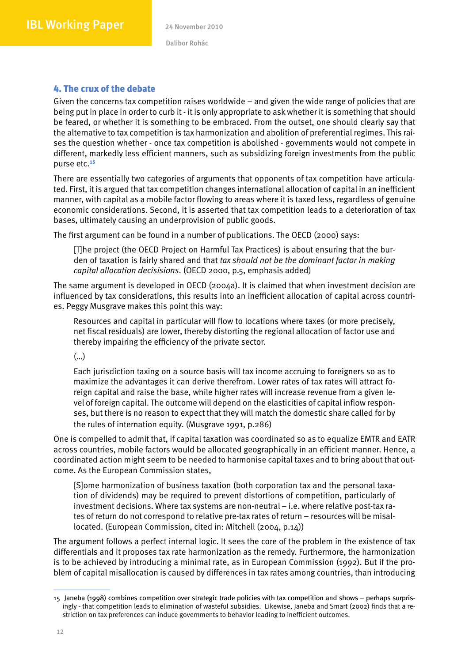## 4. The crux of the debate

Given the concerns tax competition raises worldwide – and given the wide range of policies that are being put in place in order to curb it - it is only appropriate to ask whether it is something that should be feared, or whether it is something to be embraced. From the outset, one should clearly say that the alternative to tax competition is tax harmonization and abolition of preferential regimes. This raises the question whether - once tax competition is abolished - governments would not compete in different, markedly less efficient manners, such as subsidizing foreign investments from the public purse etc.<sup>15</sup>

There are essentially two categories of arguments that opponents of tax competition have articulated. First, it is argued that tax competition changes international allocation of capital in an inefficient manner, with capital as a mobile factor flowing to areas where it is taxed less, regardless of genuine economic considerations. Second, it is asserted that tax competition leads to a deterioration of tax bases, ultimately causing an underprovision of public goods.

The first argument can be found in a number of publications. The OECD (2000) says:

[T]he project (the OECD Project on Harmful Tax Practices) is about ensuring that the burden of taxation is fairly shared and that *tax should not be the dominant factor in making capital allocation decisisions*. (OECD 2000, p.5, emphasis added)

The same argument is developed in OECD (2004a). It is claimed that when investment decision are influenced by tax considerations, this results into an inefficient allocation of capital across countries. Peggy Musgrave makes this point this way:

Resources and capital in particular will flow to locations where taxes (or more precisely, net fiscal residuals) are lower, thereby distorting the regional allocation of factor use and thereby impairing the efficiency of the private sector.

(…)

Each jurisdiction taxing on a source basis will tax income accruing to foreigners so as to maximize the advantages it can derive therefrom. Lower rates of tax rates will attract foreign capital and raise the base, while higher rates will increase revenue from a given level of foreign capital. The outcome will depend on the elasticities of capital inflow responses, but there is no reason to expect that they will match the domestic share called for by the rules of internation equity. (Musgrave 1991, p.286)

One is compelled to admit that, if capital taxation was coordinated so as to equalize EMTR and EATR across countries, mobile factors would be allocated geographically in an efficient manner. Hence, a coordinated action might seem to be needed to harmonise capital taxes and to bring about that outcome. As the European Commission states,

[S]ome harmonization of business taxation (both corporation tax and the personal taxation of dividends) may be required to prevent distortions of competition, particularly of investment decisions. Where tax systems are non-neutral – i.e. where relative post-tax rates of return do not correspond to relative pre-tax rates of return – resources will be misallocated. (European Commission, cited in: Mitchell (2004, p.14))

The argument follows a perfect internal logic. It sees the core of the problem in the existence of tax differentials and it proposes tax rate harmonization as the remedy. Furthermore, the harmonization is to be achieved by introducing a minimal rate, as in European Commission (1992). But if the problem of capital misallocation is caused by differences in tax rates among countries, than introducing

<sup>15</sup> Janeba (1998) combines competition over strategic trade policies with tax competition and shows – perhaps surpris- surprisingly - that competition leads to elimination of wasteful subsidies. Likewise, Janeba and Smart (2002) finds that a restriction on tax preferences can induce governments to behavior leading to inefficient outcomes.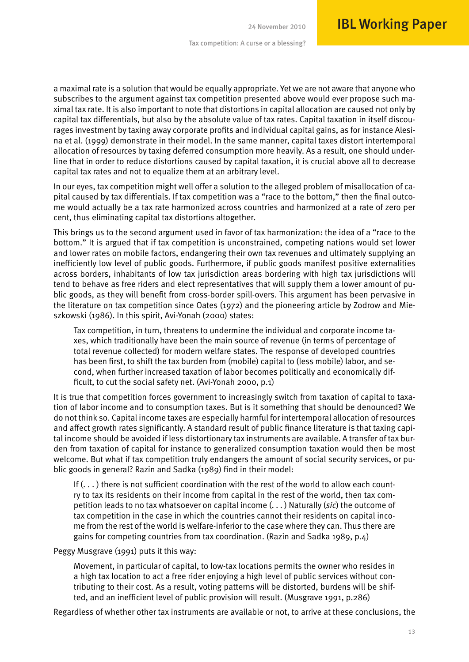a maximal rate is a solution that would be equally appropriate. Yet we are not aware that anyone who subscribes to the argument against tax competition presented above would ever propose such maximal tax rate. It is also important to note that distortions in capital allocation are caused not only by capital tax differentials, but also by the absolute value of tax rates. Capital taxation in itself discourages investment by taxing away corporate profits and individual capital gains, as for instance Alesina et al. (1999) demonstrate in their model. In the same manner, capital taxes distort intertemporal allocation of resources by taxing deferred consumption more heavily. As a result, one should underline that in order to reduce distortions caused by capital taxation, it is crucial above all to decrease capital tax rates and not to equalize them at an arbitrary level.

In our eyes, tax competition might well offer a solution to the alleged problem of misallocation of capital caused by tax differentials. If tax competition was a "race to the bottom," then the final outcome would actually be a tax rate harmonized across countries and harmonized at a rate of zero per cent, thus eliminating capital tax distortions altogether.

This brings us to the second argument used in favor of tax harmonization: the idea of a "race to the bottom." It is argued that if tax competition is unconstrained, competing nations would set lower and lower rates on mobile factors, endangering their own tax revenues and ultimately supplying an inefficiently low level of public goods. Furthermore, if public goods manifest positive externalities across borders, inhabitants of low tax jurisdiction areas bordering with high tax jurisdictions will tend to behave as free riders and elect representatives that will supply them a lower amount of public goods, as they will benefit from cross-border spill-overs. This argument has been pervasive in the literature on tax competition since Oates (1972) and the pioneering article by Zodrow and Mieszkowski (1986). In this spirit, Avi-Yonah (2000) states:

Tax competition, in turn, threatens to undermine the individual and corporate income taxes, which traditionally have been the main source of revenue (in terms of percentage of total revenue collected) for modern welfare states. The response of developed countries has been first, to shift the tax burden from (mobile) capital to (less mobile) labor, and second, when further increased taxation of labor becomes politically and economically difficult, to cut the social safety net. (Avi-Yonah 2000, p.1)

It is true that competition forces government to increasingly switch from taxation of capital to taxation of labor income and to consumption taxes. But is it something that should be denounced? We do not think so. Capital income taxes are especially harmful for intertemporal allocation of resources and affect growth rates significantly. A standard result of public finance literature is that taxing capital income should be avoided if less distortionary tax instruments are available. A transfer of tax burden from taxation of capital for instance to generalized consumption taxation would then be most welcome. But what if tax competition truly endangers the amount of social security services, or public goods in general? Razin and Sadka (1989) find in their model:

If  $(\ldots)$  there is not sufficient coordination with the rest of the world to allow each country to tax its residents on their income from capital in the rest of the world, then tax competition leads to no tax whatsoever on capital income (. . . ) Naturally (*sic*) the outcome of tax competition in the case in which the countries cannot their residents on capital income from the rest of the world is welfare-inferior to the case where they can. Thus there are gains for competing countries from tax coordination. (Razin and Sadka 1989, p.4)

#### Peggy Musgrave (1991) puts it this way:

Movement, in particular of capital, to low-tax locations permits the owner who resides in a high tax location to act a free rider enjoying a high level of public services without contributing to their cost. As a result, voting patterns will be distorted, burdens will be shifted, and an inefficient level of public provision will result. (Musgrave 1991, p.286)

Regardless of whether other tax instruments are available or not, to arrive at these conclusions, the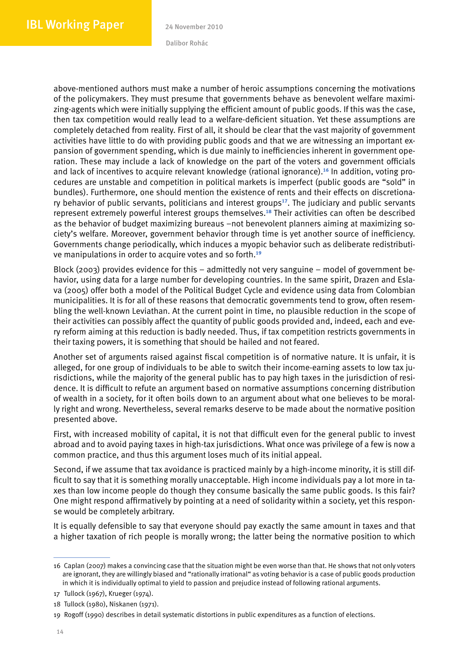above-mentioned authors must make a number of heroic assumptions concerning the motivations of the policymakers. They must presume that governments behave as benevolent welfare maximizing-agents which were initially supplying the efficient amount of public goods. If this was the case, then tax competition would really lead to a welfare-deficient situation. Yet these assumptions are completely detached from reality. First of all, it should be clear that the vast majority of government activities have little to do with providing public goods and that we are witnessing an important expansion of government spending, which is due mainly to inefficiencies inherent in government operation. These may include a lack of knowledge on the part of the voters and government officials and lack of incentives to acquire relevant knowledge (rational ignorance).16 In addition, voting procedures are unstable and competition in political markets is imperfect (public goods are "sold" in bundles). Furthermore, one should mention the existence of rents and their effects on discretionary behavior of public servants, politicians and interest groups $17$ . The judiciary and public servants represent extremely powerful interest groups themselves.18 Their activities can often be described as the behavior of budget maximizing bureaus –not benevolent planners aiming at maximizing society's welfare. Moreover, government behavior through time is yet another source of inefficiency. Governments change periodically, which induces a myopic behavior such as deliberate redistributive manipulations in order to acquire votes and so forth.<sup>19</sup>

Block (2003) provides evidence for this – admittedly not very sanguine – model of government behavior, using data for a large number for developing countries. In the same spirit, Drazen and Eslava (2005) offer both a model of the Political Budget Cycle and evidence using data from Colombian municipalities. It is for all of these reasons that democratic governments tend to grow, often resembling the well-known Leviathan. At the current point in time, no plausible reduction in the scope of their activities can possibly affect the quantity of public goods provided and, indeed, each and every reform aiming at this reduction is badly needed. Thus, if tax competition restricts governments in their taxing powers, it is something that should be hailed and not feared.

Another set of arguments raised against fiscal competition is of normative nature. It is unfair, it is alleged, for one group of individuals to be able to switch their income-earning assets to low tax jurisdictions, while the majority of the general public has to pay high taxes in the jurisdiction of residence. It is difficult to refute an argument based on normative assumptions concerning distribution of wealth in a society, for it often boils down to an argument about what one believes to be morally right and wrong. Nevertheless, several remarks deserve to be made about the normative position presented above.

First, with increased mobility of capital, it is not that difficult even for the general public to invest abroad and to avoid paying taxes in high-tax jurisdictions. What once was privilege of a few is now a common practice, and thus this argument loses much of its initial appeal.

Second, if we assume that tax avoidance is practiced mainly by a high-income minority, it is still difficult to say that it is something morally unacceptable. High income individuals pay a lot more in taxes than low income people do though they consume basically the same public goods. Is this fair? One might respond affirmatively by pointing at a need of solidarity within a society, yet this response would be completely arbitrary.

It is equally defensible to say that everyone should pay exactly the same amount in taxes and that a higher taxation of rich people is morally wrong; the latter being the normative position to which

<sup>16</sup> Caplan (2007) makes a convincing case that the situation might be even worse than that. He shows that not only voters are ignorant, they are willingly biased and "rationally irrational" as voting behavior is a case of public goods production in which it is individually optimal to yield to passion and prejudice instead of following rational arguments.

<sup>17</sup> Tullock (1967), Krueger (1974).

<sup>18</sup> Tullock (1980), Niskanen (1971).

<sup>19</sup> Rogoff (1990) describes in detail systematic distortions in public expenditures as a function of elections.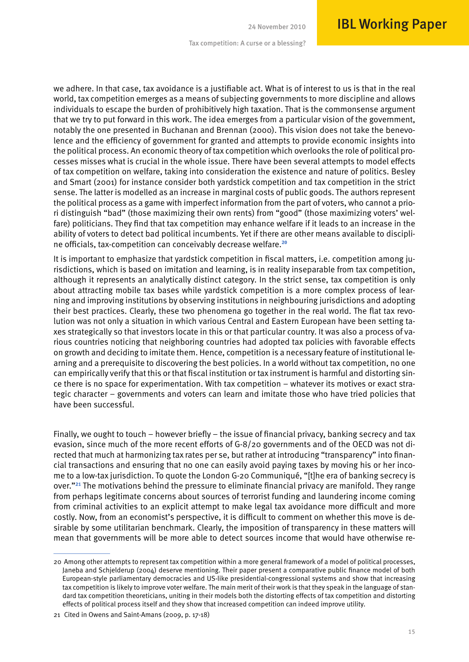we adhere. In that case, tax avoidance is a justifiable act. What is of interest to us is that in the real world, tax competition emerges as a means of subjecting governments to more discipline and allows individuals to escape the burden of prohibitively high taxation. That is the commonsense argument that we try to put forward in this work. The idea emerges from a particular vision of the government, notably the one presented in Buchanan and Brennan (2000). This vision does not take the benevolence and the efficiency of government for granted and attempts to provide economic insights into the political process. An economic theory of tax competition which overlooks the role of political processes misses what is crucial in the whole issue. There have been several attempts to model effects of tax competition on welfare, taking into consideration the existence and nature of politics. Besley and Smart (2001) for instance consider both yardstick competition and tax competition in the strict sense. The latter is modelled as an increase in marginal costs of public goods. The authors represent the political process as a game with imperfect information from the part of voters, who cannot a priori distinguish "bad" (those maximizing their own rents) from "good" (those maximizing voters' welfare) politicians. They find that tax competition may enhance welfare if it leads to an increase in the ability of voters to detect bad political incumbents. Yet if there are other means available to discipline officials, tax-competition can conceivably decrease welfare.<sup>20</sup>

It is important to emphasize that yardstick competition in fiscal matters, i.e. competition among jurisdictions, which is based on imitation and learning, is in reality inseparable from tax competition, although it represents an analytically distinct category. In the strict sense, tax competition is only about attracting mobile tax bases while yardstick competition is a more complex process of learning and improving institutions by observing institutions in neighbouring jurisdictions and adopting their best practices. Clearly, these two phenomena go together in the real world. The flat tax revolution was not only a situation in which various Central and Eastern European have been setting taxes strategically so that investors locate in this or that particular country. It was also a process of various countries noticing that neighboring countries had adopted tax policies with favorable effects on growth and deciding to imitate them. Hence, competition is a necessary feature of institutional learning and a prerequisite to discovering the best policies. In a world without tax competition, no one can empirically verify that this or that fiscal institution or tax instrument is harmful and distorting since there is no space for experimentation. With tax competition – whatever its motives or exact strategic character – governments and voters can learn and imitate those who have tried policies that have been successful.

Finally, we ought to touch – however briefly – the issue of financial privacy, banking secrecy and tax evasion, since much of the more recent efforts of G-8/20 governments and of the OECD was not directed that much at harmonizing tax rates per se, but rather at introducing "transparency" into financial transactions and ensuring that no one can easily avoid paying taxes by moving his or her income to a low-tax jurisdiction. To quote the London G-20 Communiqué, "[t]he era of banking secrecy is over."21 The motivations behind the pressure to eliminate financial privacy are manifold. They range from perhaps legitimate concerns about sources of terrorist funding and laundering income coming from criminal activities to an explicit attempt to make legal tax avoidance more difficult and more costly. Now, from an economist's perspective, it is difficult to comment on whether this move is desirable by some utilitarian benchmark. Clearly, the imposition of transparency in these matters will mean that governments will be more able to detect sources income that would have otherwise re-

<sup>20</sup> Among other attempts to represent tax competition within a more general framework of a model of political processes, Janeba and Schjelderup (2004) deserve mentioning. Their paper present a comparative public finance model of both European-style parliamentary democracies and US-like presidential-congressional systems and show that increasing tax competition is likely to improve voter welfare. The main merit of their work is that they speak in the language of standard tax competition theoreticians, uniting in their models both the distorting effects of tax competition and distorting effects of political process itself and they show that increased competition can indeed improve utility.

<sup>21</sup> Cited in Owens and Saint-Amans (2009, p. 17-18)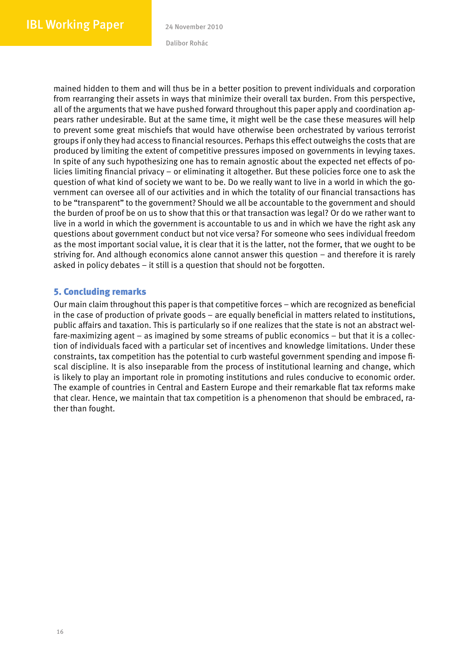mained hidden to them and will thus be in a better position to prevent individuals and corporation from rearranging their assets in ways that minimize their overall tax burden. From this perspective, all of the arguments that we have pushed forward throughout this paper apply and coordination appears rather undesirable. But at the same time, it might well be the case these measures will help to prevent some great mischiefs that would have otherwise been orchestrated by various terrorist groups if only they had access to financial resources. Perhaps this effect outweighs the costs that are produced by limiting the extent of competitive pressures imposed on governments in levying taxes. In spite of any such hypothesizing one has to remain agnostic about the expected net effects of policies limiting financial privacy – or eliminating it altogether. But these policies force one to ask the question of what kind of society we want to be. Do we really want to live in a world in which the government can oversee all of our activities and in which the totality of our financial transactions has to be "transparent" to the government? Should we all be accountable to the government and should the burden of proof be on us to show that this or that transaction was legal? Or do we rather want to live in a world in which the government is accountable to us and in which we have the right ask any questions about government conduct but not vice versa? For someone who sees individual freedom as the most important social value, it is clear that it is the latter, not the former, that we ought to be striving for. And although economics alone cannot answer this question – and therefore it is rarely asked in policy debates – it still is a question that should not be forgotten.

### 5. Concluding remarks

Our main claim throughout this paper is that competitive forces – which are recognized as beneficial in the case of production of private goods – are equally beneficial in matters related to institutions, public affairs and taxation. This is particularly so if one realizes that the state is not an abstract welfare-maximizing agent – as imagined by some streams of public economics – but that it is a collection of individuals faced with a particular set of incentives and knowledge limitations. Under these constraints, tax competition has the potential to curb wasteful government spending and impose fiscal discipline. It is also inseparable from the process of institutional learning and change, which is likely to play an important role in promoting institutions and rules conducive to economic order. The example of countries in Central and Eastern Europe and their remarkable flat tax reforms make that clear. Hence, we maintain that tax competition is a phenomenon that should be embraced, rather than fought.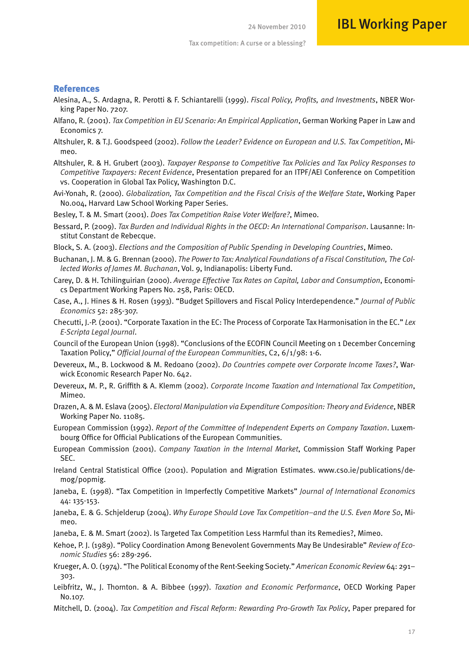#### References

- Alesina, A., S. Ardagna, R. Perotti & F. Schiantarelli (1999). *Fiscal Policy, Profits, and Investments*, NBER Working Paper No. 7207.
- Alfano, R. (2001). *Tax Competition in EU Scenario: An Empirical Application*, German Working Paper in Law and Economics 7.
- Altshuler, R. & T.J. Goodspeed (2002). *Follow the Leader? Evidence on European and U.S. Tax Competition*, Mimeo.
- Altshuler, R. & H. Grubert (2003). *Taxpayer Response to Competitive Tax Policies and Tax Policy Responses to Competitive Taxpayers: Recent Evidence*, Presentation prepared for an ITPF/AEI Conference on Competition vs. Cooperation in Global Tax Policy, Washington D.C.
- Avi-Yonah, R. (2000). *Globalization, Tax Competition and the Fiscal Crisis of the Welfare State*, Working Paper No.004, Harvard Law School Working Paper Series.
- Besley, T. & M. Smart (2001). *Does Tax Competition Raise Voter Welfare?*, Mimeo.
- Bessard, P. (2009). *Tax Burden and Individual Rights in the OECD: An International Comparison*. Lausanne: Institut Constant de Rebecque.
- Block, S. A. (2003). *Elections and the Composition of Public Spending in Developing Countries*, Mimeo.
- Buchanan, J. M. & G. Brennan (2000). *The Power to Tax: Analytical Foundations of a Fiscal Constitution, The Collected Works of James M. Buchanan*, Vol. 9, Indianapolis: Liberty Fund.
- Carey, D. & H. Tchilinguirian (2000). *Average Effective Tax Rates on Capital, Labor and Consumption*, Economics Department Working Papers No. 258, Paris: OECD.
- Case, A., J. Hines & H. Rosen (1993). "Budget Spillovers and Fiscal Policy Interdependence." *Journal of Public Economics* 52: 285-307.
- Checutti, J.-P. (2001). "Corporate Taxation in the EC: The Process of Corporate Tax Harmonisation in the EC." *Lex E-Scripta Legal Journal*.
- Council of the European Union (1998). "Conclusions of the ECOFIN Council Meeting on 1 December Concerning Taxation Policy," *Official Journal of the European Communities*, C2, 6/1/98: 1-6.
- Devereux, M., B. Lockwood & M. Redoano (2002). *Do Countries compete over Corporate Income Taxes?*, Warwick Economic Research Paper No. 642.
- Devereux, M. P., R. Griffith & A. Klemm (2002). *Corporate Income Taxation and International Tax Competition*, Mimeo.
- Drazen, A. & M. Eslava (2005). *Electoral Manipulation via Expenditure Composition: Theory and Evidence*, NBER Working Paper No. 11085.
- European Commission (1992). *Report of the Committee of Independent Experts on Company Taxation*. Luxembourg Office for Official Publications of the European Communities.
- European Commission (2001). *Company Taxation in the Internal Market*, Commission Staff Working Paper SEC.
- Ireland Central Statistical Office (2001). Population and Migration Estimates. www.cso.ie/publications/demog/popmig.
- Janeba, E. (1998). "Tax Competition in Imperfectly Competitive Markets" *Journal of International Economics*  44: 135-153.
- Janeba, E. & G. Schjelderup (2004). *Why Europe Should Love Tax Competition–and the U.S. Even More So*, Mimeo.
- Janeba, E. & M. Smart (2002). Is Targeted Tax Competition Less Harmful than its Remedies?, Mimeo.
- Kehoe, P. J. (1989). "Policy Coordination Among Benevolent Governments May Be Undesirable" *Review of Economic Studies* 56: 289-296.
- Krueger, A. O. (1974). "The Political Economy of the Rent-Seeking Society." *American Economic Review* 64: 291– 303.
- Leibfritz, W., J. Thornton. & A. Bibbee (1997). *Taxation and Economic Performance*, OECD Working Paper No.107.
- Mitchell, D. (2004). *Tax Competition and Fiscal Reform: Rewarding Pro-Growth Tax Policy*, Paper prepared for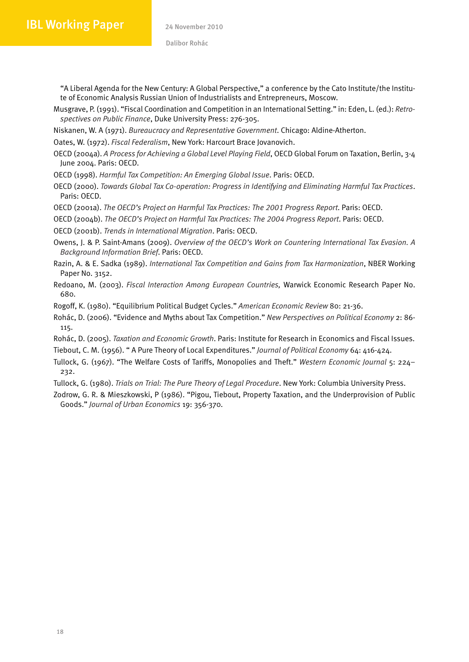"A Liberal Agenda for the New Century: A Global Perspective," a conference by the Cato Institute/the Institute of Economic Analysis Russian Union of Industrialists and Entrepreneurs, Moscow.

Musgrave, P. (1991). "Fiscal Coordination and Competition in an International Setting." in: Eden, L. (ed.): *Retrospectives on Public Finance*, Duke University Press: 276-305.

Niskanen, W. A (1971). *Bureaucracy and Representative Government*. Chicago: Aldine-Atherton.

Oates, W. (1972). *Fiscal Federalism*, New York: Harcourt Brace Jovanovich.

- OECD (2004a). *A Process for Achieving a Global Level Playing Field*, OECD Global Forum on Taxation, Berlin, 3-4 June 2004. Paris: OECD.
- OECD (1998). *Harmful Tax Competition: An Emerging Global Issue*. Paris: OECD.
- OECD (2000). *Towards Global Tax Co-operation: Progress in Identifying and Eliminating Harmful Tax Practices*. Paris: OECD.

OECD (2001a). *The OECD's Project on Harmful Tax Practices: The 2001 Progress Report*. Paris: OECD.

OECD (2004b). *The OECD's Project on Harmful Tax Practices: The 2004 Progress Report*. Paris: OECD.

OECD (2001b). *Trends in International Migration*. Paris: OECD.

- Owens, J. & P. Saint-Amans (2009). *Overview of the OECD's Work on Countering International Tax Evasion. A Background Information Brief*. Paris: OECD.
- Razin, A. & E. Sadka (1989). *International Tax Competition and Gains from Tax Harmonization*, NBER Working Paper No. 3152.
- Redoano, M. (2003). *Fiscal Interaction Among European Countries,* Warwick Economic Research Paper No. 680.

Rogoff, K. (1980). "Equilibrium Political Budget Cycles." *American Economic Review* 80: 21-36.

Rohác, D. (2006). "Evidence and Myths about Tax Competition." *New Perspectives on Political Economy* 2: 86- 115.

Rohác, D. (2005). *Taxation and Economic Growth*. Paris: Institute for Research in Economics and Fiscal Issues.

Tiebout, C. M. (1956). " A Pure Theory of Local Expenditures." *Journal of Political Economy* 64: 416-424.

Tullock, G. (1967). "The Welfare Costs of Tariffs, Monopolies and Theft." *Western Economic Journal* 5: 224– 232.

Tullock, G. (1980). *Trials on Trial: The Pure Theory of Legal Procedure*. New York: Columbia University Press.

Zodrow, G. R. & Mieszkowski, P (1986). "Pigou, Tiebout, Property Taxation, and the Underprovision of Public Goods." *Journal of Urban Economics* 19: 356-370.